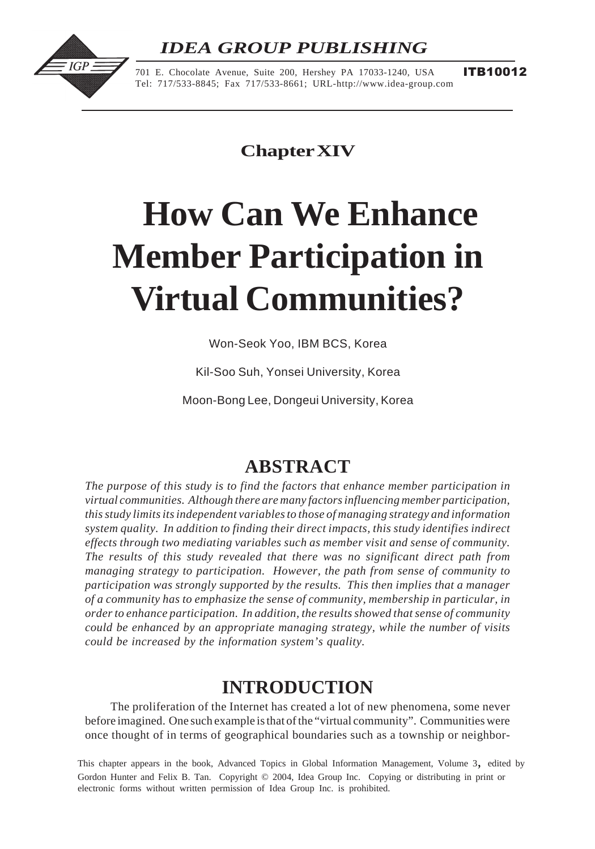## *IDEA GROUP PUBLISHING*



701 E. Chocolate Avenue, Suite 200, Hershey PA 17033-1240, USA Tel: 717/533-8845; Fax 717/533-8661; URL-http://www.idea-group.com ITB10012

**Chapter XIV**

# **How Can We Enhance Member Participation in Virtual Communities?**

Won-Seok Yoo, IBM BCS, Korea

Kil-Soo Suh, Yonsei University, Korea

Moon-Bong Lee, Dongeui University, Korea

## **ABSTRACT**

*The purpose of this study is to find the factors that enhance member participation in virtual communities. Although there are many factors influencing member participation, this study limits its independent variables to those of managing strategy and information system quality. In addition to finding their direct impacts, this study identifies indirect effects through two mediating variables such as member visit and sense of community. The results of this study revealed that there was no significant direct path from managing strategy to participation. However, the path from sense of community to participation was strongly supported by the results. This then implies that a manager of a community has to emphasize the sense of community, membership in particular, in order to enhance participation. In addition, the results showed that sense of community could be enhanced by an appropriate managing strategy, while the number of visits could be increased by the information system's quality.*

## **INTRODUCTION**

The proliferation of the Internet has created a lot of new phenomena, some never before imagined. One such example is that of the "virtual community". Communities were once thought of in terms of geographical boundaries such as a township or neighbor-

Gordon Hunter and Felix B. Tan. Copyright © 2004, Idea Group Inc. Copying or distributing in print or electronic forms without written permission of Idea Group Inc. is prohibited. This chapter appears in the book, Advanced Topics in Global Information Management, Volume 3, edited by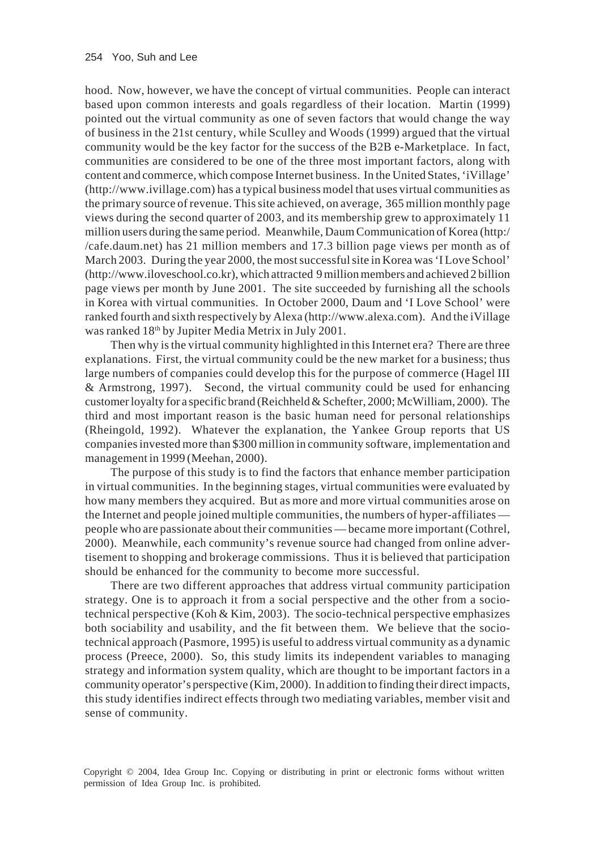hood. Now, however, we have the concept of virtual communities. People can interact based upon common interests and goals regardless of their location. Martin (1999) pointed out the virtual community as one of seven factors that would change the way of business in the 21st century, while Sculley and Woods (1999) argued that the virtual community would be the key factor for the success of the B2B e-Marketplace. In fact, communities are considered to be one of the three most important factors, along with content and commerce, which compose Internet business. In the United States, 'iVillage' (http://www.ivillage.com) has a typical business model that uses virtual communities as the primary source of revenue. This site achieved, on average, 365 million monthly page views during the second quarter of 2003, and its membership grew to approximately 11 million users during the same period. Meanwhile, Daum Communication of Korea (http:/ /cafe.daum.net) has 21 million members and 17.3 billion page views per month as of March 2003. During the year 2000, the most successful site in Korea was 'I Love School' (http://www.iloveschool.co.kr), which attracted 9 million members and achieved 2 billion page views per month by June 2001. The site succeeded by furnishing all the schools in Korea with virtual communities. In October 2000, Daum and 'I Love School' were ranked fourth and sixth respectively by Alexa (http://www.alexa.com). And the iVillage was ranked 18<sup>th</sup> by Jupiter Media Metrix in July 2001.

Then why is the virtual community highlighted in this Internet era? There are three explanations. First, the virtual community could be the new market for a business; thus large numbers of companies could develop this for the purpose of commerce (Hagel III & Armstrong, 1997). Second, the virtual community could be used for enhancing customer loyalty for a specific brand (Reichheld & Schefter, 2000; McWilliam, 2000). The third and most important reason is the basic human need for personal relationships (Rheingold, 1992). Whatever the explanation, the Yankee Group reports that US companies invested more than \$300 million in community software, implementation and management in 1999 (Meehan, 2000).

The purpose of this study is to find the factors that enhance member participation in virtual communities. In the beginning stages, virtual communities were evaluated by how many members they acquired. But as more and more virtual communities arose on the Internet and people joined multiple communities, the numbers of hyper-affiliates people who are passionate about their communities — became more important (Cothrel, 2000). Meanwhile, each community's revenue source had changed from online advertisement to shopping and brokerage commissions. Thus it is believed that participation should be enhanced for the community to become more successful.

There are two different approaches that address virtual community participation strategy. One is to approach it from a social perspective and the other from a sociotechnical perspective (Koh & Kim, 2003). The socio-technical perspective emphasizes both sociability and usability, and the fit between them. We believe that the sociotechnical approach (Pasmore, 1995) is useful to address virtual community as a dynamic process (Preece, 2000). So, this study limits its independent variables to managing strategy and information system quality, which are thought to be important factors in a community operator's perspective (Kim, 2000). In addition to finding their direct impacts, this study identifies indirect effects through two mediating variables, member visit and sense of community.

Copyright © 2004, Idea Group Inc. Copying or distributing in print or electronic forms without written permission of Idea Group Inc. is prohibited.